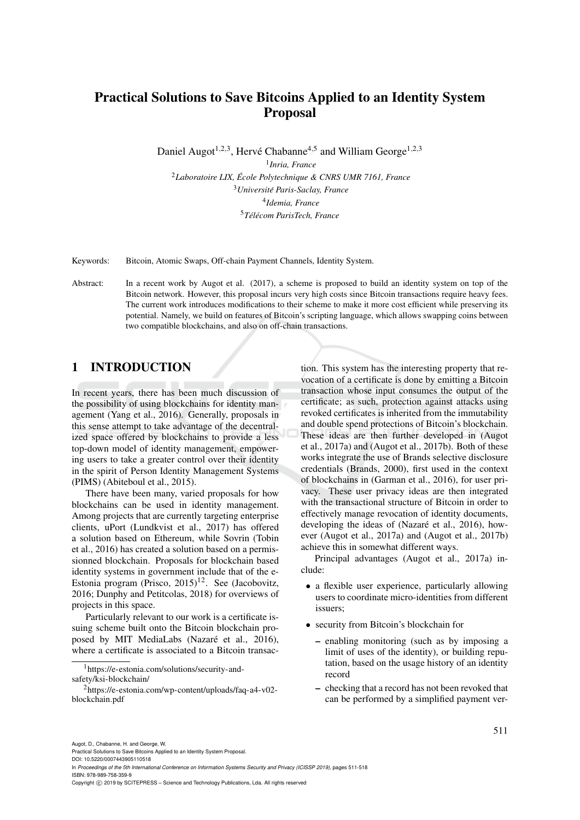# Practical Solutions to Save Bitcoins Applied to an Identity System Proposal

Daniel Augot<sup>1,2,3</sup>, Hervé Chabanne<sup>4,5</sup> and William George<sup>1,2,3</sup>

 *Inria, France Laboratoire LIX, Ecole Polytechnique & CNRS UMR 7161, France ´ Universite Paris-Saclay, France ´ Idemia, France Tel´ ecom ParisTech, France ´*

Keywords: Bitcoin, Atomic Swaps, Off-chain Payment Channels, Identity System.

Abstract: In a recent work by Augot et al. (2017), a scheme is proposed to build an identity system on top of the Bitcoin network. However, this proposal incurs very high costs since Bitcoin transactions require heavy fees. The current work introduces modifications to their scheme to make it more cost efficient while preserving its potential. Namely, we build on features of Bitcoin's scripting language, which allows swapping coins between two compatible blockchains, and also on off-chain transactions.

#### 1 INTRODUCTION

In recent years, there has been much discussion of the possibility of using blockchains for identity management (Yang et al., 2016). Generally, proposals in this sense attempt to take advantage of the decentralized space offered by blockchains to provide a less top-down model of identity management, empowering users to take a greater control over their identity in the spirit of Person Identity Management Systems (PIMS) (Abiteboul et al., 2015).

There have been many, varied proposals for how blockchains can be used in identity management. Among projects that are currently targeting enterprise clients, uPort (Lundkvist et al., 2017) has offered a solution based on Ethereum, while Sovrin (Tobin et al., 2016) has created a solution based on a permissionned blockchain. Proposals for blockchain based identity systems in government include that of the e-Estonia program (Prisco,  $2015$ )<sup>12</sup>. See (Jacobovitz, 2016; Dunphy and Petitcolas, 2018) for overviews of projects in this space.

Particularly relevant to our work is a certificate issuing scheme built onto the Bitcoin blockchain proposed by MIT MediaLabs (Nazaré et al., 2016), where a certificate is associated to a Bitcoin transac-

<sup>1</sup>https://e-estonia.com/solutions/security-andsafety/ksi-blockchain/

tion. This system has the interesting property that revocation of a certificate is done by emitting a Bitcoin transaction whose input consumes the output of the certificate; as such, protection against attacks using revoked certificates is inherited from the immutability and double spend protections of Bitcoin's blockchain. These ideas are then further developed in (Augot et al., 2017a) and (Augot et al., 2017b). Both of these works integrate the use of Brands selective disclosure credentials (Brands, 2000), first used in the context of blockchains in (Garman et al., 2016), for user privacy. These user privacy ideas are then integrated with the transactional structure of Bitcoin in order to effectively manage revocation of identity documents, developing the ideas of (Nazaré et al., 2016), however (Augot et al., 2017a) and (Augot et al., 2017b) achieve this in somewhat different ways.

Principal advantages (Augot et al., 2017a) include:

- a flexible user experience, particularly allowing users to coordinate micro-identities from different issuers;
- security from Bitcoin's blockchain for
	- enabling monitoring (such as by imposing a limit of uses of the identity), or building reputation, based on the usage history of an identity record
	- checking that a record has not been revoked that can be performed by a simplified payment ver-

<sup>2</sup>https://e-estonia.com/wp-content/uploads/faq-a4-v02 blockchain.pdf

Augot, D., Chabanne, H. and George, W.

Practical Solutions to Save Bitcoins Applied to an Identity System Proposal. DOI: 10.5220/0007443905110518

In *Proceedings of the 5th International Conference on Information Systems Security and Privacy (ICISSP 2019)*, pages 511-518 ISBN: 978-989-758-359-9

Copyright © 2019 by SCITEPRESS - Science and Technology Publications, Lda. All rights reserved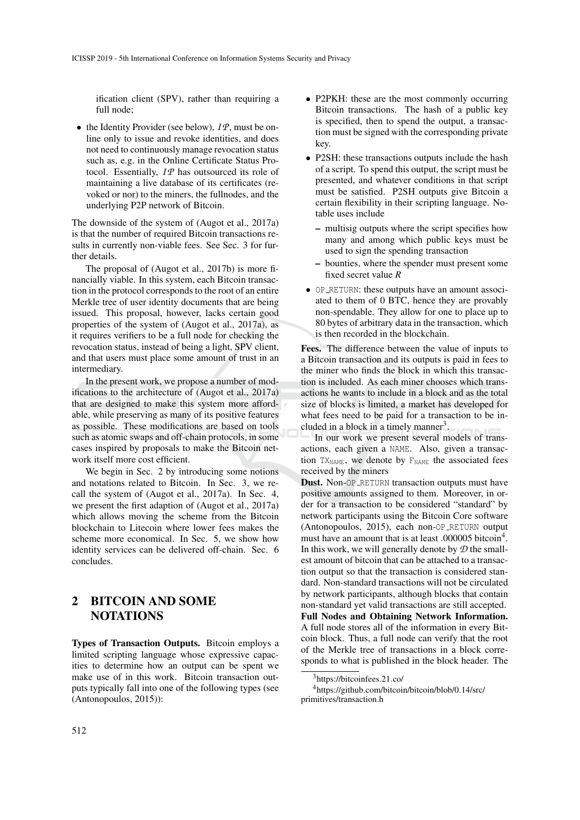ification client (SPV), rather than requiring a full node;

• the Identity Provider (see below),  $I\mathcal{P}$ , must be online only to issue and revoke identities, and does not need to continuously manage revocation status such as, e.g. in the Online Certificate Status Protocol. Essentially, *IP* has outsourced its role of maintaining a live database of its certificates (revoked or nor) to the miners, the fullnodes, and the underlying P2P network of Bitcoin.

The downside of the system of (Augot et al., 2017a) is that the number of required Bitcoin transactions results in currently non-viable fees. See Sec. 3 for further details.

The proposal of (Augot et al., 2017b) is more financially viable. In this system, each Bitcoin transaction in the protocol corresponds to the root of an entire Merkle tree of user identity documents that are being issued. This proposal, however, lacks certain good properties of the system of (Augot et al., 2017a), as it requires verifiers to be a full node for checking the revocation status, instead of being a light, SPV client, and that users must place some amount of trust in an intermediary.

In the present work, we propose a number of modifications to the architecture of (Augot et al., 2017a) that are designed to make this system more affordable, while preserving as many of its positive features as possible. These modifications are based on tools such as atomic swaps and off-chain protocols, in some cases inspired by proposals to make the Bitcoin network itself more cost efficient.

We begin in Sec. 2 by introducing some notions and notations related to Bitcoin. In Sec. 3, we recall the system of (Augot et al., 2017a). In Sec. 4, we present the first adaption of (Augot et al., 2017a) which allows moving the scheme from the Bitcoin blockchain to Litecoin where lower fees makes the scheme more economical. In Sec. 5, we show how identity services can be delivered off-chain. Sec. 6 concludes.

#### 2 BITCOIN AND SOME **NOTATIONS**

Types of Transaction Outputs. Bitcoin employs a limited scripting language whose expressive capacities to determine how an output can be spent we make use of in this work. Bitcoin transaction outputs typically fall into one of the following types (see (Antonopoulos, 2015)):

- P2PKH: these are the most commonly occurring Bitcoin transactions. The hash of a public key is specified, then to spend the output, a transaction must be signed with the corresponding private key.
- P2SH: these transactions outputs include the hash of a script. To spend this output, the script must be presented, and whatever conditions in that script must be satisfied. P2SH outputs give Bitcoin a certain flexibility in their scripting language. Notable uses include
	- multisig outputs where the script specifies how many and among which public keys must be used to sign the spending transaction
	- bounties, where the spender must present some fixed secret value *R*
- OP RETURN: these outputs have an amount associated to them of 0 BTC, hence they are provably non-spendable. They allow for one to place up to 80 bytes of arbitrary data in the transaction, which is then recorded in the blockchain.

Fees. The difference between the value of inputs to a Bitcoin transaction and its outputs is paid in fees to the miner who finds the block in which this transaction is included. As each miner chooses which transactions he wants to include in a block and as the total size of blocks is limited, a market has developed for what fees need to be paid for a transaction to be included in a block in a timely manner<sup>3</sup>.

In our work we present several models of transactions, each given a NAME. Also, given a transaction  $TX_{NAME}$ , we denote by  $F_{NAME}$  the associated fees received by the miners

**Dust.** Non-OP\_RETURN transaction outputs must have positive amounts assigned to them. Moreover, in order for a transaction to be considered "standard" by network participants using the Bitcoin Core software (Antonopoulos, 2015), each non-OP RETURN output must have an amount that is at least .000005 bitcoin<sup>4</sup>. In this work, we will generally denote by *D* the smallest amount of bitcoin that can be attached to a transaction output so that the transaction is considered standard. Non-standard transactions will not be circulated by network participants, although blocks that contain non-standard yet valid transactions are still accepted. Full Nodes and Obtaining Network Information. A full node stores all of the information in every Bit-

coin block. Thus, a full node can verify that the root of the Merkle tree of transactions in a block corresponds to what is published in the block header. The

<sup>3</sup>https://bitcoinfees.21.co/

<sup>4</sup>https://github.com/bitcoin/bitcoin/blob/0.14/src/ primitives/transaction.h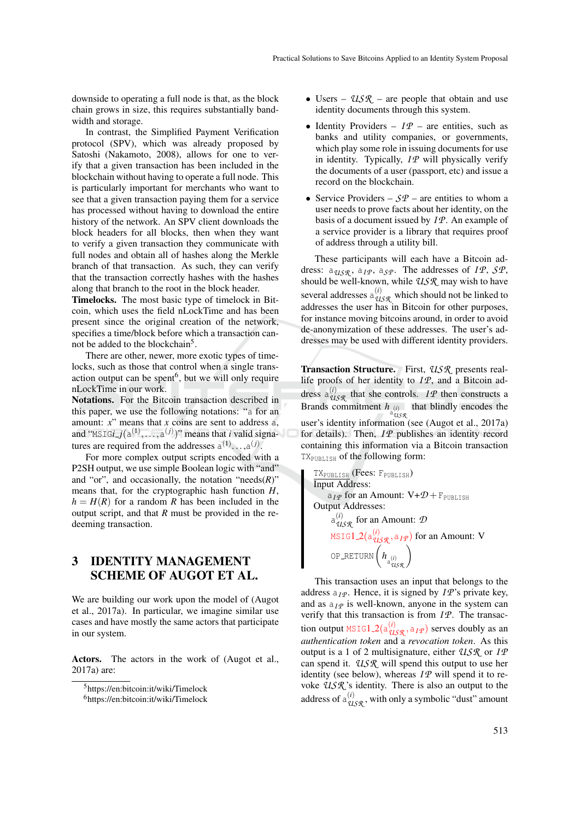downside to operating a full node is that, as the block chain grows in size, this requires substantially bandwidth and storage.

In contrast, the Simplified Payment Verification protocol (SPV), which was already proposed by Satoshi (Nakamoto, 2008), allows for one to verify that a given transaction has been included in the blockchain without having to operate a full node. This is particularly important for merchants who want to see that a given transaction paying them for a service has processed without having to download the entire history of the network. An SPV client downloads the block headers for all blocks, then when they want to verify a given transaction they communicate with full nodes and obtain all of hashes along the Merkle branch of that transaction. As such, they can verify that the transaction correctly hashes with the hashes along that branch to the root in the block header.

Timelocks. The most basic type of timelock in Bitcoin, which uses the field nLockTime and has been present since the original creation of the network, specifies a time/block before which a transaction cannot be added to the blockchain<sup>5</sup>.

There are other, newer, more exotic types of timelocks, such as those that control when a single transaction output can be spent<sup>6</sup>, but we will only require nLockTime in our work.

Notations. For the Bitcoin transaction described in this paper, we use the following notations: "a for an amount: *x*" means that *x* coins are sent to address a, and "MSIG*i\_j*( $a^{(1)}, \ldots, a^{(j)}$ )" means that *i* valid signatures are required from the addresses  $a^{(1)} \dots, a^{(j)}$ .

For more complex output scripts encoded with a P2SH output, we use simple Boolean logic with "and" and "or", and occasionally, the notation " $\operatorname{needs}(R)$ " means that, for the cryptographic hash function *H*,  $h = H(R)$  for a random *R* has been included in the output script, and that *R* must be provided in the redeeming transaction.

#### 3 IDENTITY MANAGEMENT SCHEME OF AUGOT ET AL.

We are building our work upon the model of (Augot et al., 2017a). In particular, we imagine similar use cases and have mostly the same actors that participate in our system.

Actors. The actors in the work of (Augot et al., 2017a) are:

- Users *USR* are people that obtain and use identity documents through this system.
- Identity Providers  $IP$  are entities, such as banks and utility companies, or governments, which play some role in issuing documents for use in identity. Typically, *IP* will physically verify the documents of a user (passport, etc) and issue a record on the blockchain.
- Service Providers  $-\mathcal{S}\mathcal{P}$  are entities to whom a user needs to prove facts about her identity, on the basis of a document issued by *I P*. An example of a service provider is a library that requires proof of address through a utility bill.

These participants will each have a Bitcoin address:  $a_{USR}$ ,  $a_{IP}$ ,  $a_{SP}$ . The addresses of *IP*, *SP*, should be well-known, while *USR* may wish to have several addresses  $a_{USR}^{(i)}$  which should not be linked to addresses the user has in Bitcoin for other purposes, for instance moving bitcoins around, in order to avoid de-anonymization of these addresses. The user's addresses may be used with different identity providers.

Transaction Structure. First, *USR* presents reallife proofs of her identity to *I P*, and a Bitcoin address  $a_{USR}^{(i)}$  that she controls. *IP* then constructs a Brands commitment  $h_{\text{a}_{\text{USSR}}^{(i)}}$  that blindly encodes the user's identity information (see (Augot et al., 2017a) for details). Then,  $I\mathcal{P}$  publishes an identity record containing this information via a Bitcoin transaction TXPUBLISH of the following form:

TXPUBLISH (Fees: FPUBLISH) Input Address:  $a_{IP}$  for an Amount:  $V + D + F_{\text{PUBLISH}}$ Output Addresses:  $a_{USR}^{(i)}$  for an Amount:  $D$ <code>MSIG1\_2(a $_{\mathcal{U}\mathcal{S}\mathcal{R}}^{(i)}$ , a<sub>*IP*</sub>)</sub> for an Amount: V</code> OP RETURN *h* a (*i*) *USR*

This transaction uses an input that belongs to the address  $a_I \varphi$ . Hence, it is signed by *IP*'s private key, and as  $a_I \varphi$  is well-known, anyone in the system can verify that this transaction is from *I P*. The transaction output MSIG1\_2( $a_{USR}^{(i)}$ ,  $a_{IP}$ ) serves doubly as an *authentication token* and a *revocation token*. As this output is a 1 of 2 multisignature, either *USR* or *I P* can spend it. *USR* will spend this output to use her identity (see below), whereas  $I\mathcal{P}$  will spend it to revoke *USR* 's identity. There is also an output to the address of  $a_{USR}^{(i)}$ , with only a symbolic "dust" amount

<sup>5</sup>https://en:bitcoin:it/wiki/Timelock

<sup>6</sup>https://en:bitcoin:it/wiki/Timelock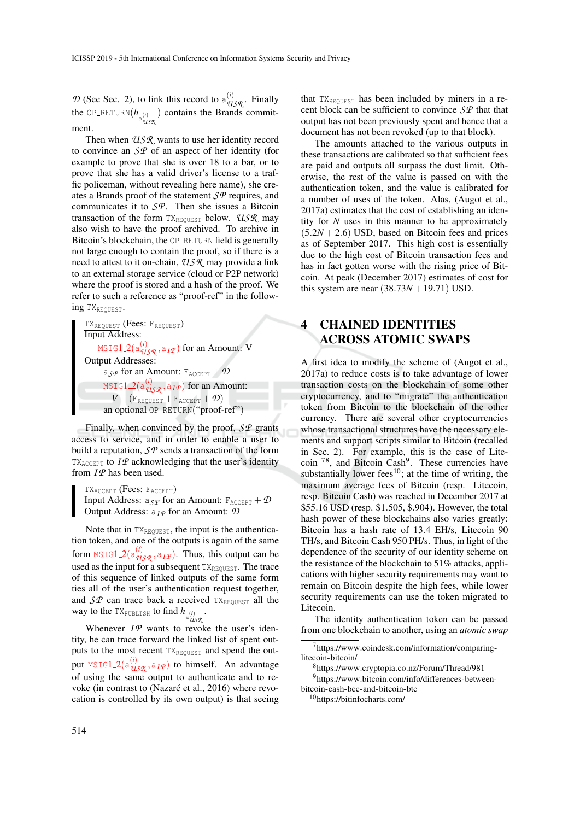$D$  (See Sec. 2), to link this record to  $a_{USR}^{(i)}$ . Finally the OP\_RETURN $(h_{a_{U_s}}^{(i)})$  contains the Brands commitment.

Then when *USR* wants to use her identity record to convince an *SP* of an aspect of her identity (for example to prove that she is over 18 to a bar, or to prove that she has a valid driver's license to a traffic policeman, without revealing here name), she creates a Brands proof of the statement *SP* requires, and communicates it to *SP*. Then she issues a Bitcoin transaction of the form TX<sub>REQUEST</sub> below. *USR* may also wish to have the proof archived. To archive in Bitcoin's blockchain, the OP\_RETURN field is generally not large enough to contain the proof, so if there is a need to attest to it on-chain, *USR* may provide a link to an external storage service (cloud or P2P network) where the proof is stored and a hash of the proof. We refer to such a reference as "proof-ref" in the following TX<sub>REQUEST</sub>.

TX<sub>REQUEST</sub> (Fees: F<sub>REQUEST</sub>) Input Address: MSIG1 2(a (*i*) *USR* ,a*I P* ) for an Amount: V Output Addresses:  $a_{\mathcal{S}P}$  for an Amount:  $F_{\text{ACCEPT}} + \mathcal{D}$ MSIG1 2(a (*i*) *USR* ,a*I P* ) for an Amount:  $V - (F_{\text{REQUEST}} + F_{\text{ACCEPT}} + \mathcal{D})$ an optional OP\_RETURN("proof-ref")

Finally, when convinced by the proof, *SP* grants access to service, and in order to enable a user to build a reputation, *SP* sends a transaction of the form  $TX_{\text{ACCEPT}}$  to  $I\mathcal{P}$  acknowledging that the user's identity from  $I\mathcal{P}$  has been used.

TXACCEPT (Fees: FACCEPT) **Input Address:**  $a_{\mathcal{S}P}$  for an Amount:  $F_{\text{ACCEPT}} + \mathcal{D}$ Output Address: a*I P* for an Amount: *D*

Note that in  $TX_{\text{REOUEST}}$ , the input is the authentication token, and one of the outputs is again of the same form  $\text{MSIG1}\_2(\text{a}_{\text{USR}}^{(i)}, \text{a}_{\text{IP}})$ . Thus, this output can be used as the input for a subsequent TXREQUEST. The trace of this sequence of linked outputs of the same form ties all of the user's authentication request together, and  $SP$  can trace back a received  $TX_{REQUEST}$  all the way to the  $TX_{\text{PUBLISH}}$  to find  $h_{\text{a}_{\text{USR}}}$ .

Whenever  $IP$  wants to revoke the user's identity, he can trace forward the linked list of spent outputs to the most recent TXREQUEST and spend the output  $\text{MSIG1}_2(a_{\mathcal{UBR}}^{(i)}, a_{\mathcal{IP}})$  to himself. An advantage of using the same output to authenticate and to revoke (in contrast to (Nazaré et al., 2016) where revocation is controlled by its own output) is that seeing

that  $TX_{REQUEST}$  has been included by miners in a recent block can be sufficient to convince *SP* that that output has not been previously spent and hence that a document has not been revoked (up to that block).

The amounts attached to the various outputs in these transactions are calibrated so that sufficient fees are paid and outputs all surpass the dust limit. Otherwise, the rest of the value is passed on with the authentication token, and the value is calibrated for a number of uses of the token. Alas, (Augot et al., 2017a) estimates that the cost of establishing an identity for *N* uses in this manner to be approximately  $(5.2N + 2.6)$  USD, based on Bitcoin fees and prices as of September 2017. This high cost is essentially due to the high cost of Bitcoin transaction fees and has in fact gotten worse with the rising price of Bitcoin. At peak (December 2017) estimates of cost for this system are near  $(38.73*N* + 19.71)$  USD.

### 4 CHAINED IDENTITIES ACROSS ATOMIC SWAPS

A first idea to modify the scheme of (Augot et al., 2017a) to reduce costs is to take advantage of lower transaction costs on the blockchain of some other cryptocurrency, and to "migrate" the authentication token from Bitcoin to the blockchain of the other currency. There are several other cryptocurrencies whose transactional structures have the necessary elements and support scripts similar to Bitcoin (recalled in Sec. 2). For example, this is the case of Litecoin  $^{78}$ , and Bitcoin Cash<sup>9</sup>. These currencies have substantially lower fees<sup>10</sup>; at the time of writing, the maximum average fees of Bitcoin (resp. Litecoin, resp. Bitcoin Cash) was reached in December 2017 at \$55.16 USD (resp. \$1.505, \$.904). However, the total hash power of these blockchains also varies greatly: Bitcoin has a hash rate of 13.4 EH/s, Litecoin 90 TH/s, and Bitcoin Cash 950 PH/s. Thus, in light of the dependence of the security of our identity scheme on the resistance of the blockchain to 51% attacks, applications with higher security requirements may want to remain on Bitcoin despite the high fees, while lower security requirements can use the token migrated to Litecoin.

The identity authentication token can be passed from one blockchain to another, using an *atomic swap*

<sup>8</sup>https://www.cryptopia.co.nz/Forum/Thread/981

<sup>9</sup>https://www.bitcoin.com/info/differences-betweenbitcoin-cash-bcc-and-bitcoin-btc

<sup>10</sup>https://bitinfocharts.com/

 $7$ https://www.coindesk.com/information/comparinglitecoin-bitcoin/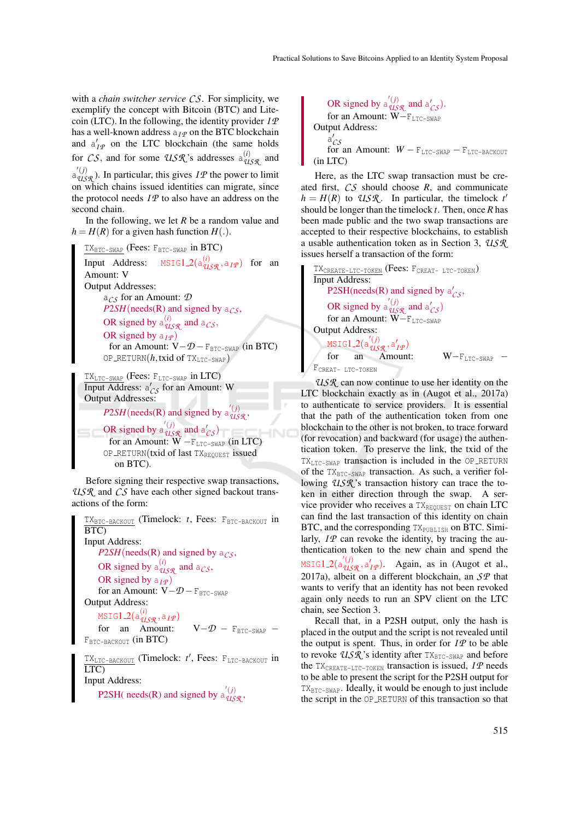with a *chain switcher service CS*. For simplicity, we exemplify the concept with Bitcoin (BTC) and Litecoin (LTC). In the following, the identity provider *I P* has a well-known address  $a_I \varphi$  on the BTC blockchain and  $a'_{IP}$  on the LTC blockchain (the same holds for *CS*, and for some *USR*'s addresses  $a_{USR}^{(i)}$  and  $a_{\mathcal{USR}}^{(j)}$ ). In particular, this gives *IP* the power to limit on which chains issued identities can migrate, since the protocol needs  $I\mathcal{P}$  to also have an address on the second chain.

In the following, we let *R* be a random value and  $h = H(R)$  for a given hash function  $H(.)$ .



Input Address:  $MSTG1.2(a_{USR}^{(i)}, a_{IP})$  for an Amount: V Output Addresses: a*CS* for an Amount: *D P*2*SH*(needs(R) and signed by  $a_{CS}$ , OR signed by  $a_{USR}^{(i)}$  and  $a_{CS}$ , OR signed by  $a_{IP}$ for an Amount:  $V - D - F_{BTC-SWAP}$  (in BTC) OP\_RETURN $(h, \text{txid of } TX_{\text{LTC-SWAP}})$ 

```
TXLTC-SWAP (Fees: FLTC-SWAP in LTC)
Input Address: a'_{CS} for an Amount: W
Output Addresses:
```
*P*2*SH*(needs(R) and signed by  $a_{USR}^{'}(j)$ ,

```
OR signed by a_{\text{USR}}^{\prime(j)} and a_{\text{CS}}^{\prime})
  for an Amount: W - F_{LTC-SWAP} (in LTC)
OP_RETURN(txid of last TXREQUEST issued
   on BTC).
```
Before signing their respective swap transactions, *USR* and *CS* have each other signed backout transactions of the form:

TX<sub>BTC-BACKOUT</sub> (Timelock: *t*, Fees: F<sub>BTC-BACKOUT</sub> in BTC) Input Address: *P*2*SH*(needs(R) and signed by  $a_{CS}$ , OR signed by  $a_{USR}^{(i)}$  and  $a_{CS}$ , OR signed by  $a_{IP}$ ) for an Amount:  $V - D - F_{BTC-SWAP}$ Output Address: MSIG1 2(a (*i*) *USR* ,a*I P* ) for an Amount:  $V - D = F_{BTC-SWAP}$  – FBTC-BACKOUT (in BTC) TX<sub>LTC-BACKOUT</sub> (Timelock:  $t'$ , Fees: F<sub>LTC-BACKOUT</sub> in

LTC) Input Address: P2SH( needs(R) and signed by  $a_{USR}^{'(j)}$ ,

OR signed by  $a_{\text{USR}}^{\prime(j)}$  and  $a_{\text{CS}}^{\prime}$ . for an Amount: W-FLTC-SWAP Output Address:  $\frac{a'}{c}$ for an Amount:  $W - F_{\text{LTC-SWAP}} - F_{\text{LTC-PACKOUT}}$ (in LTC)

Here, as the LTC swap transaction must be created first, *CS* should choose *R*, and communicate  $h = H(R)$  to *USR*. In particular, the timelock *t*<sup>*'*</sup> should be longer than the timelock *t*. Then, once *R* has been made public and the two swap transactions are accepted to their respective blockchains, to establish a usable authentication token as in Section 3, *USR* issues herself a transaction of the form:

TX<sub>CREATE-LTC-TOKEN</sub> (Fees: F<sub>CREAT- LTC-TOKEN</sub>) Input Address: P2SH(needs(R) and signed by  $a'_{CS}$ , OR signed by  $a_{\text{USR}}^{\prime(j)}$  and  $a_{\text{CS}}^{\prime}$ ) for an Amount: W-FLTC-SWAP Output Address: *M*SIG1\_2(a' $^{'}(j)$ <sub>USR</sub>,a'<sub>IP</sub>) for an Amount: W–F<sub>LTC-SWAP</sub> – FCREAT- LTC-TOKEN

*USR* can now continue to use her identity on the LTC blockchain exactly as in (Augot et al., 2017a) to authenticate to service providers. It is essential that the path of the authentication token from one blockchain to the other is not broken, to trace forward (for revocation) and backward (for usage) the authentication token. To preserve the link, the txid of the  $TX_{\text{LTC-SWAP}}$  transaction is included in the OP RETURN of the  $TX_{BTC-SWAP}$  transaction. As such, a verifier following *USR*'s transaction history can trace the token in either direction through the swap. A service provider who receives a  $TX_{\text{REOHERS}}$  on chain LTC can find the last transaction of this identity on chain BTC, and the corresponding  $TX_{\text{PUBLISH}}$  on BTC. Similarly,  $I\mathcal{P}$  can revoke the identity, by tracing the authentication token to the new chain and spend the MSIG1\_2( $a_{\mathcal{UBR}}'(i)$ ,  $a'_{I\mathcal{P}}$ ). Again, as in (Augot et al., 2017a), albeit on a different blockchain, an *SP* that wants to verify that an identity has not been revoked again only needs to run an SPV client on the LTC chain, see Section 3.

Recall that, in a P2SH output, only the hash is placed in the output and the script is not revealed until the output is spent. Thus, in order for  $I\mathcal{P}$  to be able to revoke *USR*'s identity after TX<sub>BTC-SWAP</sub> and before the  $TX_{\text{CREATE-LTC-TOKEN}}$  transaction is issued,  $IP$  needs to be able to present the script for the P2SH output for  $TX_{\text{BTC-SWAP}}$ . Ideally, it would be enough to just include the script in the OP RETURN of this transaction so that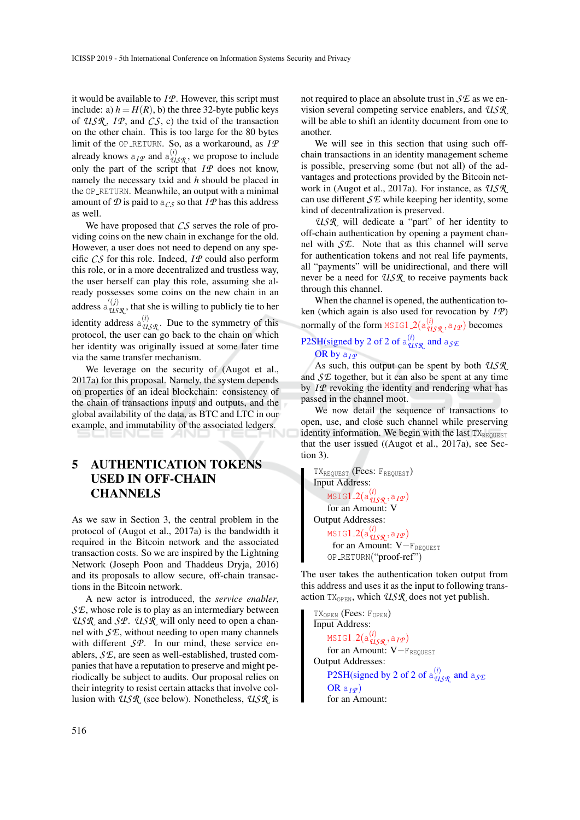it would be available to *I P*. However, this script must include: a)  $h = H(R)$ , b) the three 32-byte public keys of *USR* , *I P*, and *CS*, c) the txid of the transaction on the other chain. This is too large for the 80 bytes limit of the OP RETURN. So, as a workaround, as *I P* already knows  $a_{IP}$  and  $a_{USR}^{(i)}$ , we propose to include only the part of the script that  $IP$  does not know, namely the necessary txid and *h* should be placed in the OP\_RETURN. Meanwhile, an output with a minimal amount of  $D$  is paid to  $a_{CS}$  so that  $I \mathcal{P}$  has this address as well.

We have proposed that *CS* serves the role of providing coins on the new chain in exchange for the old. However, a user does not need to depend on any specific *CS* for this role. Indeed, *I P* could also perform this role, or in a more decentralized and trustless way, the user herself can play this role, assuming she already possesses some coins on the new chain in an address  $a_{\text{USR}}^{\prime(j)}$ , that she is willing to publicly tie to her identity address  $a_{U, S, R}^{(i)}$ . Due to the symmetry of this protocol, the user can go back to the chain on which her identity was originally issued at some later time via the same transfer mechanism.

We leverage on the security of (Augot et al., 2017a) for this proposal. Namely, the system depends on properties of an ideal blockchain: consistency of the chain of transactions inputs and outputs, and the global availability of the data, as BTC and LTC in our example, and immutability of the associated ledgers.

### 5 AUTHENTICATION TOKENS USED IN OFF-CHAIN **CHANNELS**

As we saw in Section 3, the central problem in the protocol of (Augot et al., 2017a) is the bandwidth it required in the Bitcoin network and the associated transaction costs. So we are inspired by the Lightning Network (Joseph Poon and Thaddeus Dryja, 2016) and its proposals to allow secure, off-chain transactions in the Bitcoin network.

A new actor is introduced, the *service enabler*, *SE*, whose role is to play as an intermediary between *USR* and *SP*. *USR* will only need to open a channel with *SE*, without needing to open many channels with different *SP*. In our mind, these service enablers, *SE*, are seen as well-established, trusted companies that have a reputation to preserve and might periodically be subject to audits. Our proposal relies on their integrity to resist certain attacks that involve collusion with *USR* (see below). Nonetheless, *USR* is not required to place an absolute trust in *SE* as we envision several competing service enablers, and *USR* will be able to shift an identity document from one to another.

We will see in this section that using such offchain transactions in an identity management scheme is possible, preserving some (but not all) of the advantages and protections provided by the Bitcoin network in (Augot et al., 2017a). For instance, as *USR* can use different *SE* while keeping her identity, some kind of decentralization is preserved.

*USR* will dedicate a "part" of her identity to off-chain authentication by opening a payment channel with *SE*. Note that as this channel will serve for authentication tokens and not real life payments, all "payments" will be unidirectional, and there will never be a need for *USR* to receive payments back through this channel.

When the channel is opened, the authentication token (which again is also used for revocation by *I P*) normally of the form MSIG1\_2( $a_{USR}^{(i)}$ ,  $a_{IP}$ ) becomes

#### P2SH(signed by 2 of 2 of  $a_{USR}^{(i)}$  and  $a_{S/E}$ OR by a<sub>IP</sub>

As such, this output can be spent by both *USR* and *SE* together, but it can also be spent at any time by *IP* revoking the identity and rendering what has passed in the channel moot.

We now detail the sequence of transactions to open, use, and close such channel while preserving identity information. We begin with the last  $TX_{REOUEST}$ that the user issued ((Augot et al., 2017a), see Section 3).

TX<sub>REQUEST</sub> (Fees: F<sub>REQUEST</sub>) Input Address: MSIG1 2(a (*i*) *USR* ,a*I P* ) for an Amount: V Output Addresses: MSIG1 2(a (*i*) *USR* ,a*I P* ) for an Amount:  $V-F_{REOUEST}$ OP RETURN("proof-ref")

The user takes the authentication token output from this address and uses it as the input to following transaction  $TX_{OPEN}$ , which  $USR$  does not yet publish.

TX<sub>OPEN</sub> (Fees: F<sub>OPEN</sub>) Input Address: MSIG1 2(a (*i*) *USR* ,a*I P* ) for an Amount: V-FREQUEST Output Addresses: P2SH(signed by 2 of 2 of  $a_{USR}^{(i)}$  and  $a_{S/E}$  $ORa_{I\varphi}$ for an Amount: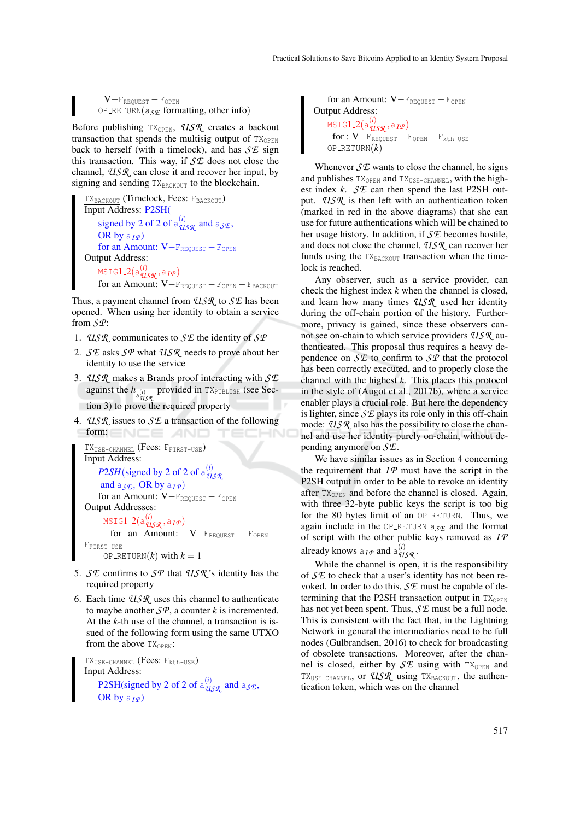$V-F_{REQUEST}-F_{OPEN}$ OP\_RETURN( $a_{S\mathcal{F}}$  formatting, other info)

Before publishing TX<sub>OPEN</sub>, USR creates a backout transaction that spends the multisig output of  $TX_{\text{OPEN}}$ back to herself (with a timelock), and has *SE* sign this transaction. This way, if *SE* does not close the channel, *USR* can close it and recover her input, by signing and sending  $TX_{\text{BACKOUT}}$  to the blockchain.

```
TX_{\text{BACKOUT}} (Timelock, Fees: F_{\text{BACKOUT}})
Input Address: P2SH(
    signed by 2 of 2 of a_{USR}^{(i)} and a_{S/E},
    OR by a_{I}P)for an Amount: V-FREQUEST – FOPEN
Output Address:
    MSIG1 2(a
(i)
USR ,aI P )
    for an Amount: V-F_{REQUEST}-F_{OPEN}-F_{BACKOUT}
```
Thus, a payment channel from *USR* to *SE* has been opened. When using her identity to obtain a service from *SP*:

- 1. *USR* communicates to *SE* the identity of *SP*
- 2. *SE* asks *SP* what *USR* needs to prove about her identity to use the service
- 3. *USR* makes a Brands proof interacting with *SE* against the  $h$ <sub>a(*i*)</sub> provided in TX<sub>PUBLISH</sub> (see Section 3) to prove the required property
- 4. *USR* issues to *SE* a transaction of the following form: ENCE AND

```
TXUSE-CHANNEL (Fees: FFIRST-USE)
Input Address:
    P2SH(signed by 2 of 2 of a_{q_1}^{(i)}USR
     and a_{S}, OR by a_{I}<sup>p</sup>)
    for an Amount: V-F<sub>REQUEST</sub> - F<sub>OPEN</sub>
Output Addresses:
      MSIG1 2(a
(i)
USR ,aI P )
        for an Amount: V-F_{REQUEST} - F_{OPEN} -FFIRST-USE
     OP_RETURN(k) with k = 1
```
- 5. *SE* confirms to *SP* that *USR* 's identity has the required property
- 6. Each time *USR* uses this channel to authenticate to maybe another *SP*, a counter *k* is incremented. At the *k*-th use of the channel, a transaction is issued of the following form using the same UTXO from the above  $TX_{OPEN}$ :

TX<sub>USE-CHANNEL</sub> (Fees: F<sub>kth-USE</sub>) Input Address: P2SH(signed by 2 of 2 of  $a_{USR}^{(i)}$  and  $a_{S/E}$ , OR by  $a_I \varphi$ 

for an Amount: V-F<sub>REQUEST</sub> – F<sub>OPEN</sub> Output Address: MSIG1 2(a (*i*) *USR* ,a*I P* )  $for: V-F_{REQUEST}-F_{OPEND}-F_{kth-USE}$  $OP$ <sup> $_R$ ETURN $(k)$ </sup>

Whenever  $\mathcal{S} \mathcal{L}$  wants to close the channel, he signs and publishes TX<sub>OPEN</sub> and TX<sub>USE-CHANNEL</sub>, with the highest index *k*. *SE* can then spend the last P2SH output. *USR* is then left with an authentication token (marked in red in the above diagrams) that she can use for future authentications which will be chained to her usage history. In addition, if *SE* becomes hostile, and does not close the channel, *USR* can recover her funds using the  $TX_{\text{BACKOUT}}$  transaction when the timelock is reached.

Any observer, such as a service provider, can check the highest index *k* when the channel is closed, and learn how many times *USR* used her identity during the off-chain portion of the history. Furthermore, privacy is gained, since these observers cannot see on-chain to which service providers *USR* authenticated. This proposal thus requires a heavy dependence on *SE* to confirm to *SP* that the protocol has been correctly executed, and to properly close the channel with the highest *k*. This places this protocol in the style of (Augot et al., 2017b), where a service enabler plays a crucial role. But here the dependency is lighter, since *SE* plays its role only in this off-chain mode: *USR* also has the possibility to close the channel and use her identity purely on-chain, without depending anymore on *SE*.

We have similar issues as in Section 4 concerning the requirement that  $IP$  must have the script in the P2SH output in order to be able to revoke an identity after  $TX<sub>OFEN</sub>$  and before the channel is closed. Again, with three 32-byte public keys the script is too big for the 80 bytes limit of an OP\_RETURN. Thus, we again include in the OP RETURN a*SE* and the format of script with the other public keys removed as *I P* already knows  $a_{IP}$  and  $a_{USR}^{(i)}$ .

While the channel is open, it is the responsibility of *SE* to check that a user's identity has not been revoked. In order to do this, *SE* must be capable of determining that the P2SH transaction output in  $TX_{OPEN}$ has not yet been spent. Thus, *SE* must be a full node. This is consistent with the fact that, in the Lightning Network in general the intermediaries need to be full nodes (Gulbrandsen, 2016) to check for broadcasting of obsolete transactions. Moreover, after the channel is closed, either by  $S\mathcal{L}$  using with TX<sub>OPEN</sub> and TX<sub>USE-CHANNEL</sub>, or *USR* using TX<sub>BACKOUT</sub>, the authentication token, which was on the channel